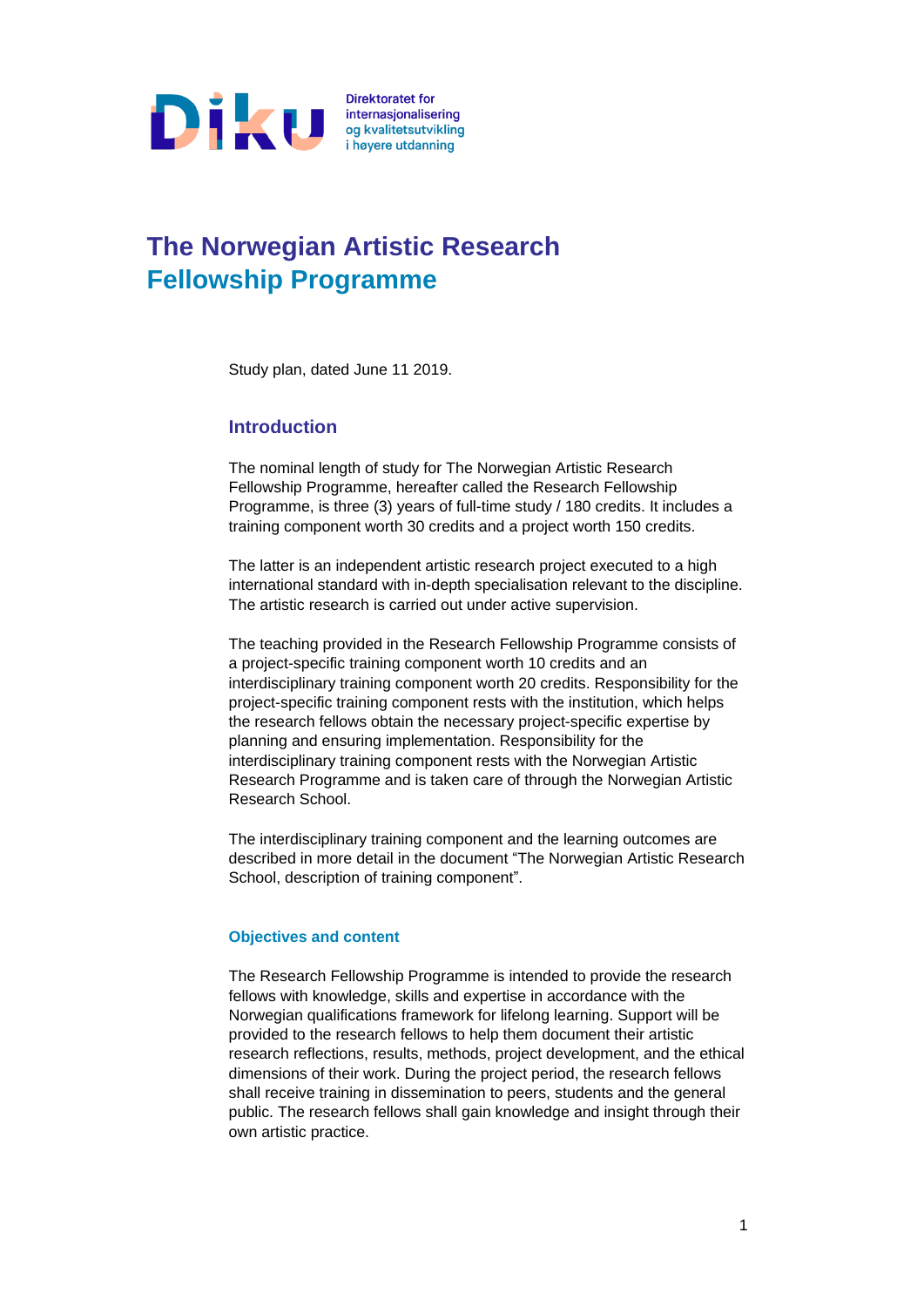

# **The Norwegian Artistic Research Fellowship Programme**

Study plan, dated June 11 2019.

## **Introduction**

The nominal length of study for The Norwegian Artistic Research Fellowship Programme, hereafter called the Research Fellowship Programme, is three (3) years of full-time study / 180 credits. It includes a training component worth 30 credits and a project worth 150 credits.

The latter is an independent artistic research project executed to a high international standard with in-depth specialisation relevant to the discipline. The artistic research is carried out under active supervision.

The teaching provided in the Research Fellowship Programme consists of a project-specific training component worth 10 credits and an interdisciplinary training component worth 20 credits. Responsibility for the project-specific training component rests with the institution, which helps the research fellows obtain the necessary project-specific expertise by planning and ensuring implementation. Responsibility for the interdisciplinary training component rests with the Norwegian Artistic Research Programme and is taken care of through the Norwegian Artistic Research School.

The interdisciplinary training component and the learning outcomes are described in more detail in the document "The Norwegian Artistic Research School, description of training component".

#### **Objectives and content**

The Research Fellowship Programme is intended to provide the research fellows with knowledge, skills and expertise in accordance with the Norwegian qualifications framework for lifelong learning. Support will be provided to the research fellows to help them document their artistic research reflections, results, methods, project development, and the ethical dimensions of their work. During the project period, the research fellows shall receive training in dissemination to peers, students and the general public. The research fellows shall gain knowledge and insight through their own artistic practice.